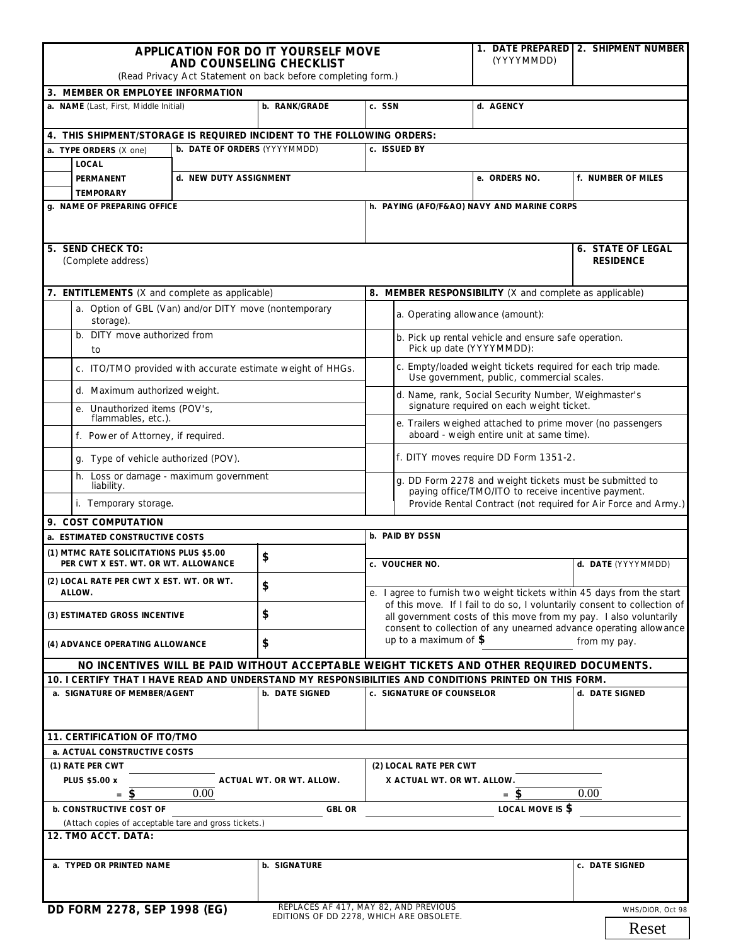| <b>APPLICATION FOR DO IT YOURSELF MOVE</b>                                                             |                        |                |                                                                                                                                                                                                                                                                                              | (YYYYMMDD)                                                                                                     | 1. DATE PREPARED   2. SHIPMENT NUMBER |  |
|--------------------------------------------------------------------------------------------------------|------------------------|----------------|----------------------------------------------------------------------------------------------------------------------------------------------------------------------------------------------------------------------------------------------------------------------------------------------|----------------------------------------------------------------------------------------------------------------|---------------------------------------|--|
| AND COUNSELING CHECKLIST<br>(Read Privacy Act Statement on back before completing form.)               |                        |                |                                                                                                                                                                                                                                                                                              |                                                                                                                |                                       |  |
| 3. MEMBER OR EMPLOYEE INFORMATION                                                                      |                        |                |                                                                                                                                                                                                                                                                                              |                                                                                                                |                                       |  |
| a. NAME (Last, First, Middle Initial)                                                                  |                        | b. RANK/GRADE  | c. SSN                                                                                                                                                                                                                                                                                       | d. AGENCY                                                                                                      |                                       |  |
| 4. THIS SHIPMENT/STORAGE IS REQUIRED INCIDENT TO THE FOLLOWING ORDERS:                                 |                        |                |                                                                                                                                                                                                                                                                                              |                                                                                                                |                                       |  |
| c. ISSUED BY<br>b. DATE OF ORDERS (YYYYMMDD)<br>a. TYPE ORDERS (X one)                                 |                        |                |                                                                                                                                                                                                                                                                                              |                                                                                                                |                                       |  |
| <b>LOCAL</b>                                                                                           | d. NEW DUTY ASSIGNMENT |                |                                                                                                                                                                                                                                                                                              | e. ORDERS NO.                                                                                                  | f. NUMBER OF MILES                    |  |
| PERMANENT<br><b>TEMPORARY</b>                                                                          |                        |                |                                                                                                                                                                                                                                                                                              |                                                                                                                |                                       |  |
| g. NAME OF PREPARING OFFICE                                                                            |                        |                |                                                                                                                                                                                                                                                                                              | h. PAYING (AFO/F&AO) NAVY AND MARINE CORPS                                                                     |                                       |  |
|                                                                                                        |                        |                |                                                                                                                                                                                                                                                                                              |                                                                                                                |                                       |  |
| 5. SEND CHECK TO:                                                                                      |                        |                |                                                                                                                                                                                                                                                                                              |                                                                                                                | <b>6. STATE OF LEGAL</b>              |  |
| (Complete address)                                                                                     |                        |                |                                                                                                                                                                                                                                                                                              |                                                                                                                | <b>RESIDENCE</b>                      |  |
| 7. ENTITLEMENTS (X and complete as applicable)                                                         |                        |                | 8. MEMBER RESPONSIBILITY (X and complete as applicable)                                                                                                                                                                                                                                      |                                                                                                                |                                       |  |
| a. Option of GBL (Van) and/or DITY move (nontemporary                                                  |                        |                |                                                                                                                                                                                                                                                                                              |                                                                                                                |                                       |  |
| storage).                                                                                              |                        |                | a. Operating allowance (amount):                                                                                                                                                                                                                                                             |                                                                                                                |                                       |  |
| b. DITY move authorized from<br>to                                                                     |                        |                | b. Pick up rental vehicle and ensure safe operation.<br>Pick up date (YYYYMMDD):                                                                                                                                                                                                             |                                                                                                                |                                       |  |
| c. ITO/TMO provided with accurate estimate weight of HHGs.                                             |                        |                | c. Empty/loaded weight tickets required for each trip made.<br>Use government, public, commercial scales.                                                                                                                                                                                    |                                                                                                                |                                       |  |
| d. Maximum authorized weight.                                                                          |                        |                |                                                                                                                                                                                                                                                                                              | d. Name, rank, Social Security Number, Weighmaster's<br>signature required on each weight ticket.              |                                       |  |
| e. Unauthorized items (POV's,<br>flammables, etc.).                                                    |                        |                | e. Trailers weighed attached to prime mover (no passengers                                                                                                                                                                                                                                   |                                                                                                                |                                       |  |
| f. Power of Attorney, if required.                                                                     |                        |                | aboard - weigh entire unit at same time).                                                                                                                                                                                                                                                    |                                                                                                                |                                       |  |
| q. Type of vehicle authorized (POV).                                                                   |                        |                | f. DITY moves require DD Form 1351-2.                                                                                                                                                                                                                                                        |                                                                                                                |                                       |  |
| h. Loss or damage - maximum government<br>liability.                                                   |                        |                |                                                                                                                                                                                                                                                                                              | g. DD Form 2278 and weight tickets must be submitted to<br>paying office/TMO/ITO to receive incentive payment. |                                       |  |
| i. Temporary storage.                                                                                  |                        |                | Provide Rental Contract (not required for Air Force and Army.)                                                                                                                                                                                                                               |                                                                                                                |                                       |  |
| 9. COST COMPUTATION                                                                                    |                        |                |                                                                                                                                                                                                                                                                                              |                                                                                                                |                                       |  |
| a. ESTIMATED CONSTRUCTIVE COSTS                                                                        |                        |                | b. PAID BY DSSN                                                                                                                                                                                                                                                                              |                                                                                                                |                                       |  |
| (1) MTMC RATE SOLICITATIONS PLUS \$5.00<br>PER CWT X EST. WT. OR WT. ALLOWANCE                         |                        | \$             | c. VOUCHER NO.                                                                                                                                                                                                                                                                               |                                                                                                                | d. DATE (YYYYMMDD)                    |  |
| (2) LOCAL RATE PER CWT X EST. WT. OR WT.<br>ALLOW.                                                     |                        | \$             | e. I agree to furnish two weight tickets within 45 days from the start<br>of this move. If I fail to do so, I voluntarily consent to collection of<br>all government costs of this move from my pay. I also voluntarily<br>consent to collection of any unearned advance operating allowance |                                                                                                                |                                       |  |
| (3) ESTIMATED GROSS INCENTIVE                                                                          |                        | \$             |                                                                                                                                                                                                                                                                                              |                                                                                                                |                                       |  |
| \$<br>(4) ADVANCE OPERATING ALLOWANCE                                                                  |                        |                | up to a maximum of $$$<br>from my pay.                                                                                                                                                                                                                                                       |                                                                                                                |                                       |  |
| NO INCENTIVES WILL BE PAID WITHOUT ACCEPTABLE WEIGHT TICKETS AND OTHER REQUIRED DOCUMENTS.             |                        |                |                                                                                                                                                                                                                                                                                              |                                                                                                                |                                       |  |
| 10. I CERTIFY THAT I HAVE READ AND UNDERSTAND MY RESPONSIBILITIES AND CONDITIONS PRINTED ON THIS FORM. |                        |                |                                                                                                                                                                                                                                                                                              |                                                                                                                |                                       |  |
| a. SIGNATURE OF MEMBER/AGENT                                                                           |                        | b. DATE SIGNED | c. SIGNATURE OF COUNSELOR                                                                                                                                                                                                                                                                    |                                                                                                                | d. DATE SIGNED                        |  |
| 11. CERTIFICATION OF ITO/TMO                                                                           |                        |                |                                                                                                                                                                                                                                                                                              |                                                                                                                |                                       |  |
| a. ACTUAL CONSTRUCTIVE COSTS                                                                           |                        |                |                                                                                                                                                                                                                                                                                              |                                                                                                                |                                       |  |
| (1) RATE PER CWT                                                                                       |                        |                | (2) LOCAL RATE PER CWT                                                                                                                                                                                                                                                                       |                                                                                                                |                                       |  |
| PLUS \$5.00 x<br>ACTUAL WT. OR WT. ALLOW.                                                              |                        |                | X ACTUAL WT. OR WT. ALLOW.                                                                                                                                                                                                                                                                   |                                                                                                                |                                       |  |
| 0.00<br>$=$                                                                                            |                        |                | 0.00<br>$=$ \$                                                                                                                                                                                                                                                                               |                                                                                                                |                                       |  |
| <b>b. CONSTRUCTIVE COST OF</b>                                                                         | <b>GBL OR</b>          |                | LOCAL MOVE IS \$                                                                                                                                                                                                                                                                             |                                                                                                                |                                       |  |
| (Attach copies of acceptable tare and gross tickets.)<br>12. TMO ACCT. DATA:                           |                        |                |                                                                                                                                                                                                                                                                                              |                                                                                                                |                                       |  |
|                                                                                                        |                        |                |                                                                                                                                                                                                                                                                                              |                                                                                                                |                                       |  |
| a. TYPED OR PRINTED NAME                                                                               |                        | b. SIGNATURE   |                                                                                                                                                                                                                                                                                              |                                                                                                                | c. DATE SIGNED                        |  |
| REPLACES AF 417, MAY 82, AND PREVIOUS                                                                  |                        |                |                                                                                                                                                                                                                                                                                              |                                                                                                                |                                       |  |
| DD FORM 2278, SEP 1998 (EG)<br>WHS/DIOR, Oct 98<br>EDITIONS OF DD 2278, WHICH ARE OBSOLETE.            |                        |                |                                                                                                                                                                                                                                                                                              |                                                                                                                |                                       |  |
|                                                                                                        |                        |                |                                                                                                                                                                                                                                                                                              |                                                                                                                | Reset                                 |  |